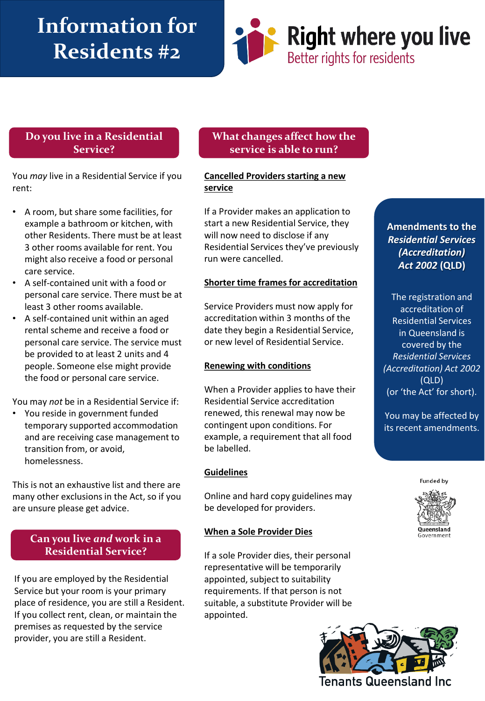# **Information for Residents #2**



## **Do you live in a Residential Service?**

You *may* live in a Residential Service if you rent:

- A room, but share some facilities, for example a bathroom or kitchen, with other Residents. There must be at least 3 other rooms available for rent. You might also receive a food or personal care service.
- A self-contained unit with a food or personal care service. There must be at least 3 other rooms available.
- A self-contained unit within an aged rental scheme and receive a food or personal care service. The service must be provided to at least 2 units and 4 people. Someone else might provide the food or personal care service.

You may *not* be in a Residential Service if:

• You reside in government funded temporary supported accommodation and are receiving case management to transition from, or avoid, homelessness.

This is not an exhaustive list and there are many other exclusions in the Act, so if you are unsure please get advice.

# **Can you live** *and* **work in a Residential Service?**

If you are employed by the Residential Service but your room is your primary place of residence, you are still a Resident. If you collect rent, clean, or maintain the premises as requested by the service provider, you are still a Resident.

# **What changes affect how the service is able to run?**

#### **Cancelled Providers starting a new service**

If a Provider makes an application to start a new Residential Service, they will now need to disclose if any Residential Services they've previously run were cancelled.

#### **Shorter time frames for accreditation**

Service Providers must now apply for accreditation within 3 months of the date they begin a Residential Service, or new level of Residential Service.

#### **Renewing with conditions**

When a Provider applies to have their Residential Service accreditation renewed, this renewal may now be contingent upon conditions. For example, a requirement that all food be labelled.

#### **Guidelines**

Online and hard copy guidelines may be developed for providers.

#### **When a Sole Provider Dies**

If a sole Provider dies, their personal representative will be temporarily appointed, subject to suitability requirements. If that person is not suitable, a substitute Provider will be appointed.

**Amendments to the**  *Residential Services (Accreditation) Act 2002* **(QLD)**

The registration and accreditation of Residential Services in Queensland is covered by the *Residential Services (Accreditation) Act 2002* (QLD) (or 'the Act' for short).

You may be affected by its recent amendments.

**Funded by**